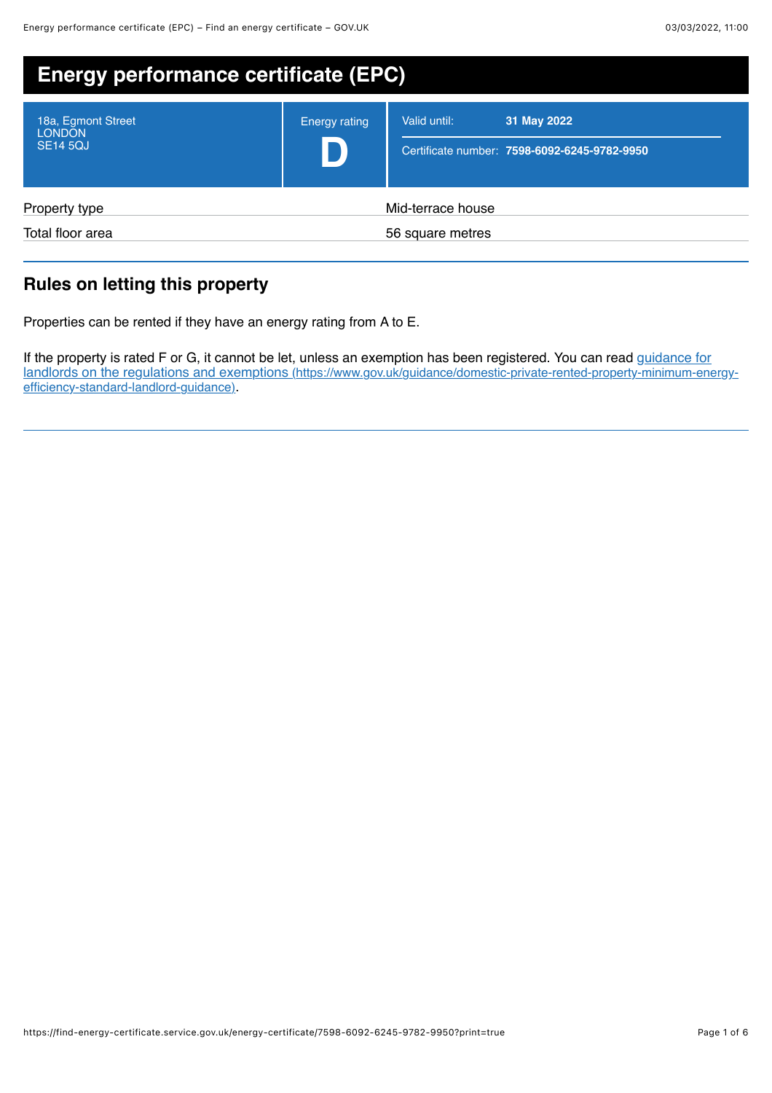| <b>Energy performance certificate (EPC)</b>            |                                       |                                                                             |
|--------------------------------------------------------|---------------------------------------|-----------------------------------------------------------------------------|
| 18a, Egmont Street<br><b>LONDON</b><br><b>SE14 5QJ</b> | <b>Energy rating</b>                  | 31 May 2022<br>Valid until:<br>Certificate number: 7598-6092-6245-9782-9950 |
| Property type<br>Total floor area                      | Mid-terrace house<br>56 square metres |                                                                             |
|                                                        |                                       |                                                                             |

# **Rules on letting this property**

Properties can be rented if they have an energy rating from A to E.

If the property is rated F or G, it cannot be let, unless an exemption has been registered. You can read guidance for [landlords on the regulations and exemptions \(https://www.gov.uk/guidance/domestic-private-rented-property-minimum-energy](https://www.gov.uk/guidance/domestic-private-rented-property-minimum-energy-efficiency-standard-landlord-guidance)efficiency-standard-landlord-guidance).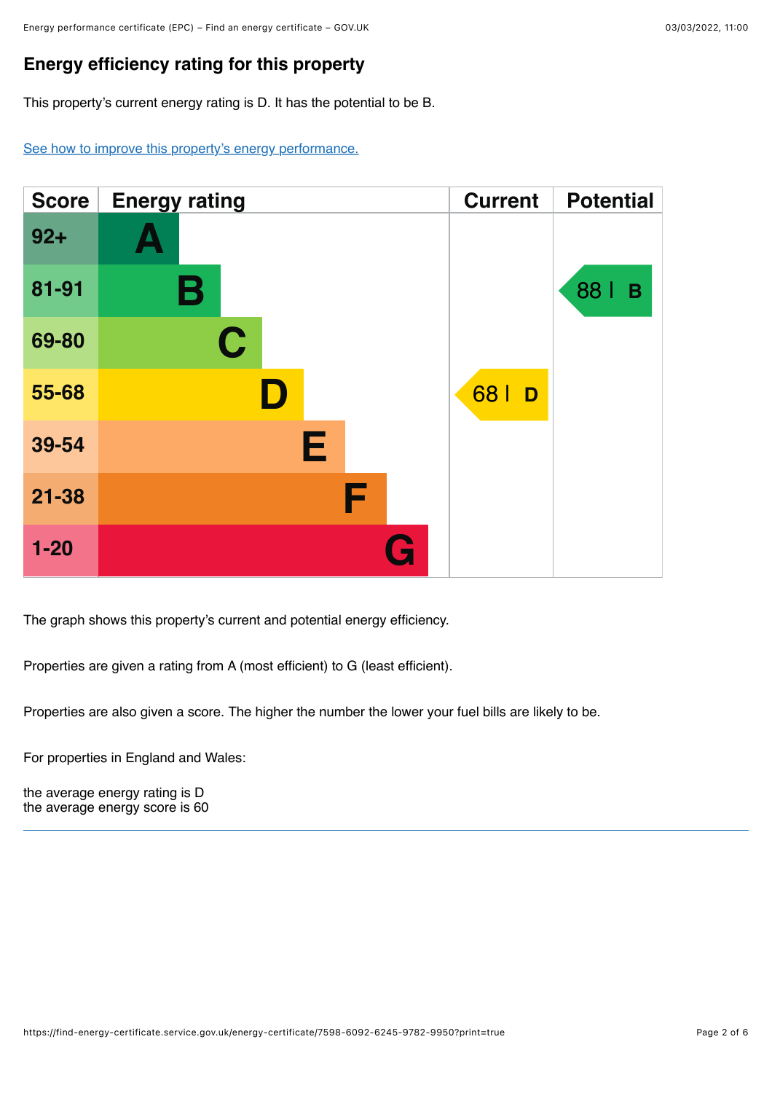## **Energy efficiency rating for this property**

This property's current energy rating is D. It has the potential to be B.

[See how to improve this property's energy performance.](#page-3-0)



The graph shows this property's current and potential energy efficiency.

Properties are given a rating from A (most efficient) to G (least efficient).

Properties are also given a score. The higher the number the lower your fuel bills are likely to be.

For properties in England and Wales:

the average energy rating is D the average energy score is 60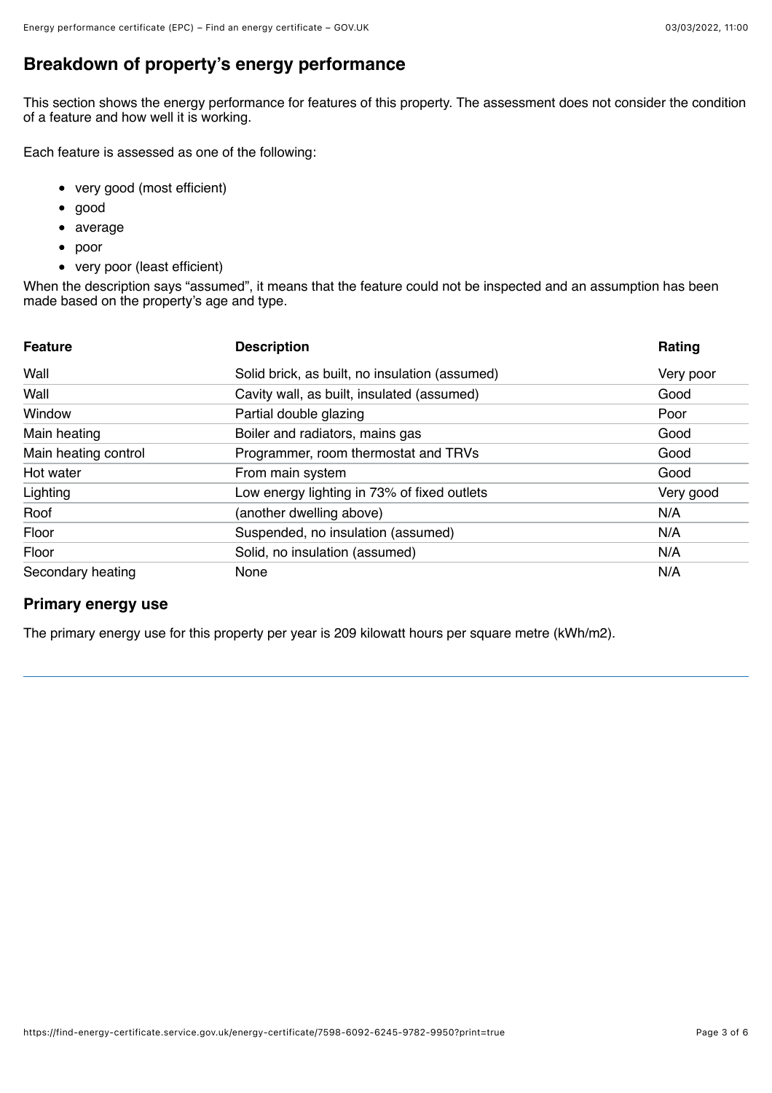## **Breakdown of property's energy performance**

This section shows the energy performance for features of this property. The assessment does not consider the condition of a feature and how well it is working.

Each feature is assessed as one of the following:

- very good (most efficient)
- $\bullet$ good
- average
- poor  $\bullet$
- very poor (least efficient)

When the description says "assumed", it means that the feature could not be inspected and an assumption has been made based on the property's age and type.

| <b>Feature</b>       | <b>Description</b>                             | Rating    |
|----------------------|------------------------------------------------|-----------|
| Wall                 | Solid brick, as built, no insulation (assumed) | Very poor |
| Wall                 | Cavity wall, as built, insulated (assumed)     | Good      |
| Window               | Partial double glazing                         | Poor      |
| Main heating         | Boiler and radiators, mains gas                | Good      |
| Main heating control | Programmer, room thermostat and TRVs           | Good      |
| Hot water            | From main system                               | Good      |
| Lighting             | Low energy lighting in 73% of fixed outlets    | Very good |
| Roof                 | (another dwelling above)                       | N/A       |
| Floor                | Suspended, no insulation (assumed)             | N/A       |
| Floor                | Solid, no insulation (assumed)                 | N/A       |
| Secondary heating    | None                                           | N/A       |

### **Primary energy use**

The primary energy use for this property per year is 209 kilowatt hours per square metre (kWh/m2).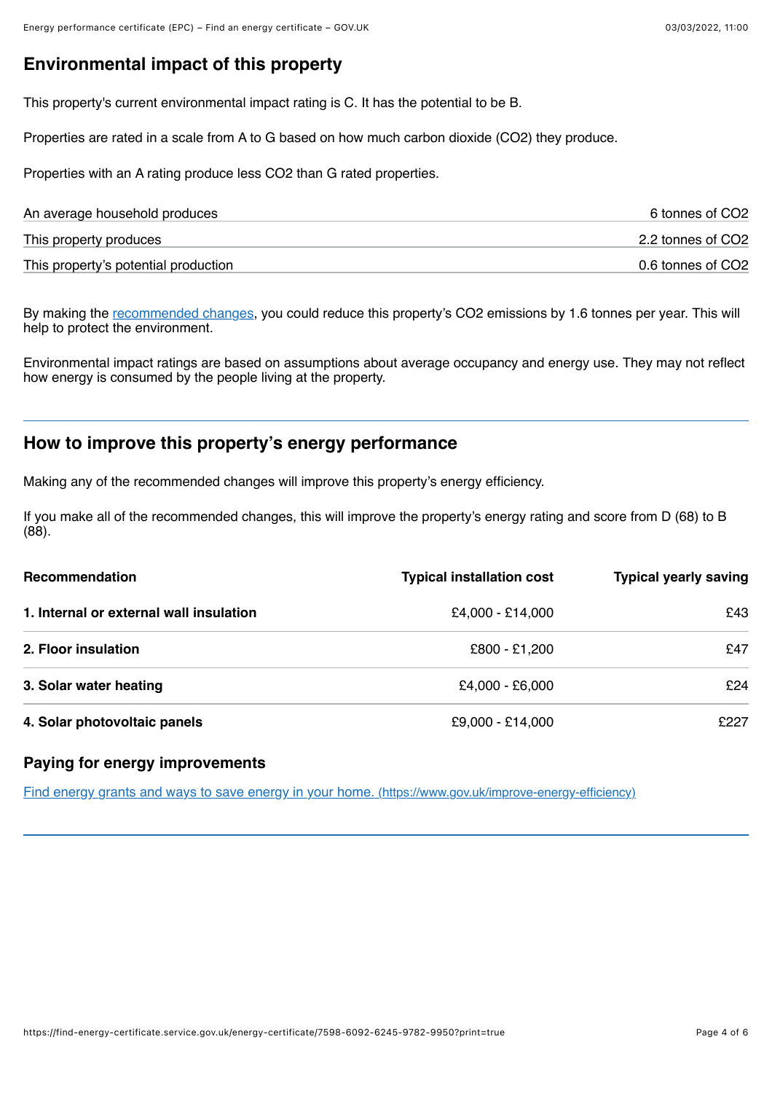## **Environmental impact of this property**

This property's current environmental impact rating is C. It has the potential to be B.

Properties are rated in a scale from A to G based on how much carbon dioxide (CO2) they produce.

Properties with an A rating produce less CO2 than G rated properties.

| An average household produces        | 6 tonnes of CO2   |
|--------------------------------------|-------------------|
| This property produces               | 2.2 tonnes of CO2 |
| This property's potential production | 0.6 tonnes of CO2 |

By making the <u>recommended changes</u>, you could reduce this property's CO2 emissions by 1.6 tonnes per year. This will help to protect the environment.

Environmental impact ratings are based on assumptions about average occupancy and energy use. They may not reflect how energy is consumed by the people living at the property.

### <span id="page-3-0"></span>**How to improve this property's energy performance**

Making any of the recommended changes will improve this property's energy efficiency.

If you make all of the recommended changes, this will improve the property's energy rating and score from D (68) to B  $(88)$ .

| Recommendation                          | <b>Typical installation cost</b> | <b>Typical yearly saving</b> |
|-----------------------------------------|----------------------------------|------------------------------|
| 1. Internal or external wall insulation | £4,000 - £14,000                 | £43                          |
| 2. Floor insulation                     | £800 - £1,200                    | £47                          |
| 3. Solar water heating                  | £4,000 - £6,000                  | £24                          |
| 4. Solar photovoltaic panels            | £9,000 - £14,000                 | £227                         |

### **Paying for energy improvements**

[Find energy grants and ways to save energy in your home. \(https://www.gov.uk/improve-energy-efficiency\)](https://www.gov.uk/improve-energy-efficiency)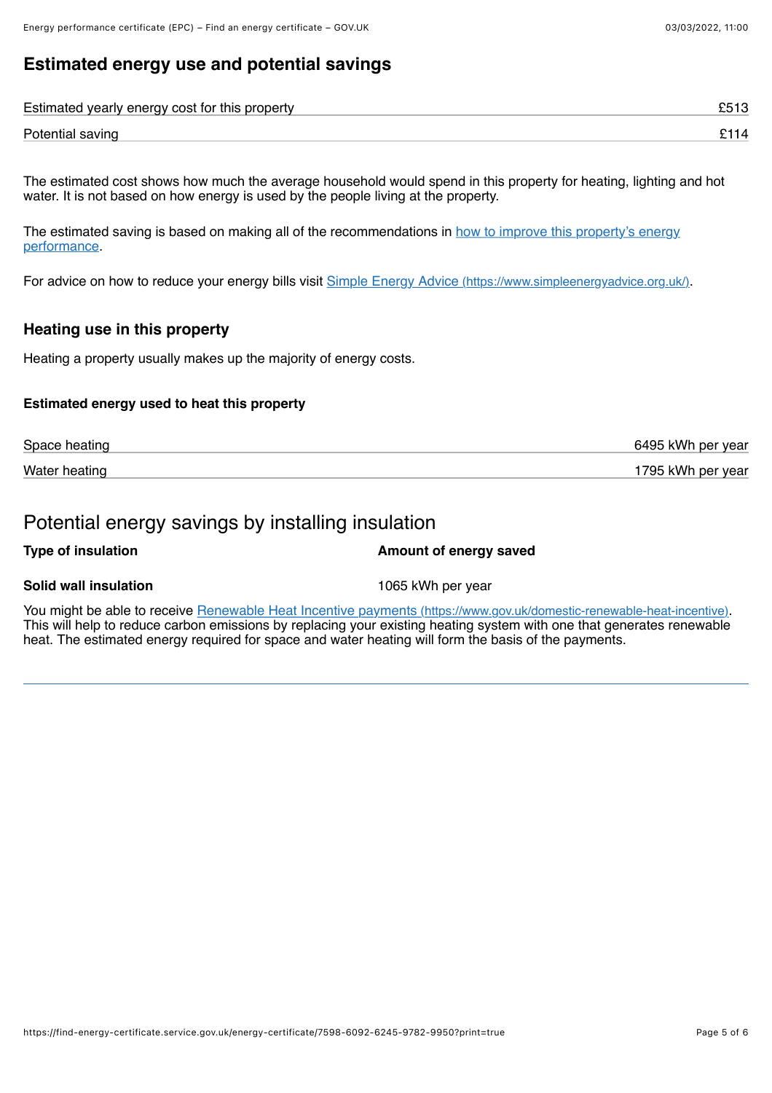## **Estimated energy use and potential savings**

| Estimated yearly energy cost for this property |  |
|------------------------------------------------|--|
| Potential saving                               |  |

The estimated cost shows how much the average household would spend in this property for heating, lighting and hot water. It is not based on how energy is used by the people living at the property.

[The estimated saving is based on making all of the recommendations in how to improve this property's energy](#page-3-0) performance.

For advice on how to reduce your energy bills visit [Simple Energy Advice \(https://www.simpleenergyadvice.org.uk/\)](https://www.simpleenergyadvice.org.uk/).

### **Heating use in this property**

Heating a property usually makes up the majority of energy costs.

#### **Estimated energy used to heat this property**

| Space heating | 6495 kWh per year |
|---------------|-------------------|
| Water heating | 1795 kWh per year |

### Potential energy savings by installing insulation

#### **Type of insulation Amount of energy saved**

#### **Solid wall insulation** 1065 kWh per year

You might be able to receive [Renewable Heat Incentive payments \(https://www.gov.uk/domestic-renewable-heat-incentive\).](https://www.gov.uk/domestic-renewable-heat-incentive) This will help to reduce carbon emissions by replacing your existing heating system with one that generates renewable heat. The estimated energy required for space and water heating will form the basis of the payments.